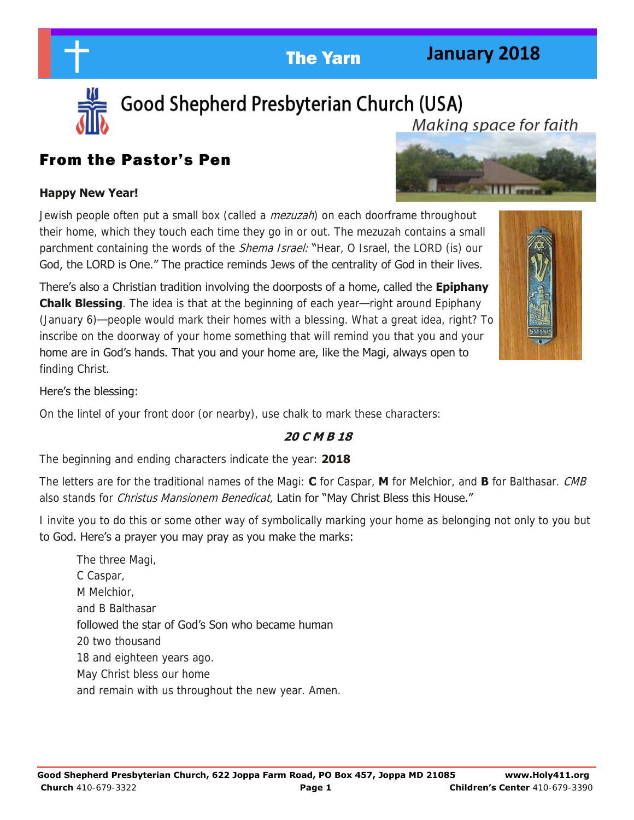# **January 2018**



Good Shepherd Presbyterian Church (USA) Makina space for faith

## From the Pastor's Pen

## **Happy New Year!**

Jewish people often put a small box (called a *mezuzah*) on each doorframe throughout their home, which they touch each time they go in or out. The mezuzah contains a small parchment containing the words of the *Shema Israel:* "Hear, O Israel, the LORD (is) our God, the LORD is One." The practice reminds Jews of the centrality of God in their lives.

There's also a Christian tradition involving the doorposts of a home, called the **Epiphany Chalk Blessing**. The idea is that at the beginning of each year—right around Epiphany (January 6)—people would mark their homes with a blessing. What a great idea, right? To inscribe on the doorway of your home something that will remind you that you and your home are in God's hands. That you and your home are, like the Magi, always open to finding Christ.



## Here's the blessing:

On the lintel of your front door (or nearby), use chalk to mark these characters:

## **20 C M B 18**

The beginning and ending characters indicate the year: **2018**

The letters are for the traditional names of the Magi: **C** for Caspar, **M** for Melchior, and **B** for Balthasar. CMB also stands for *Christus Mansionem Benedicat*, Latin for "May Christ Bless this House."

I invite you to do this or some other way of symbolically marking your home as belonging not only to you but to God. Here's a prayer you may pray as you make the marks:

The three Magi, C Caspar, M Melchior, and B Balthasar followed the star of God's Son who became human 20 two thousand 18 and eighteen years ago. May Christ bless our home and remain with us throughout the new year. Amen.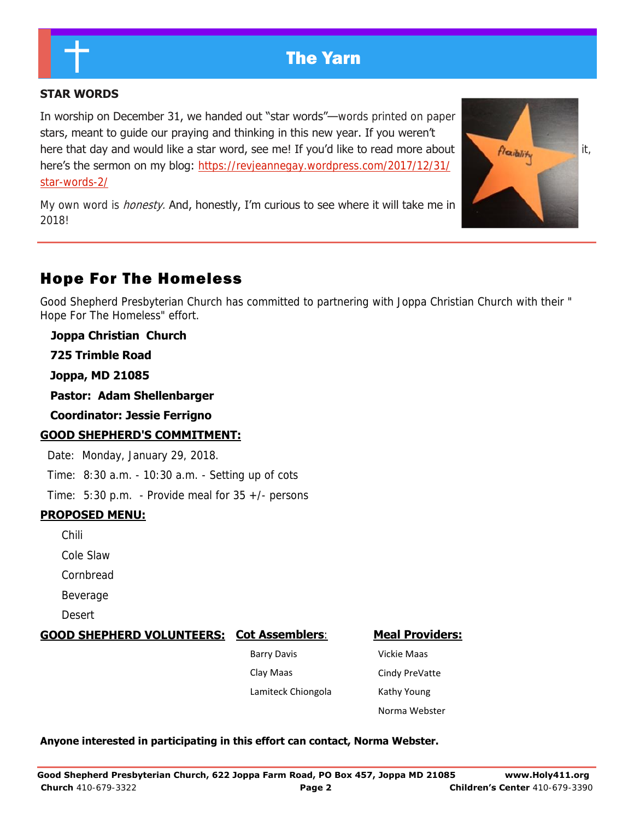#### **STAR WORDS**

In worship on December 31, we handed out "star words"—words printed on paper stars, meant to guide our praying and thinking in this new year. If you weren't here that day and would like a star word, see me! If you'd like to read more about  $f$  flexibility here's the sermon on my blog: [https://revjeannegay.wordpress.com/2017/12/31/](https://revjeannegay.wordpress.com/2017/12/31/star-words-2/) [star-words-2/](https://revjeannegay.wordpress.com/2017/12/31/star-words-2/) 

My own word is *honesty*. And, honestly, I'm curious to see where it will take me in 2018!



## Hope For The Homeless

Good Shepherd Presbyterian Church has committed to partnering with Joppa Christian Church with their " Hope For The Homeless" effort.

**Joppa Christian Church**

 **725 Trimble Road**

 **Joppa, MD 21085** 

 **Pastor: Adam Shellenbarger**

 **Coordinator: Jessie Ferrigno**

#### **GOOD SHEPHERD'S COMMITMENT:**

Date: Monday, January 29, 2018.

Time: 8:30 a.m. - 10:30 a.m. - Setting up of cots

Time: 5:30 p.m. - Provide meal for 35 +/- persons

#### **PROPOSED MENU:**

Chili

Cole Slaw

Cornbread

Beverage

Desert

#### **GOOD SHEPHERD VOLUNTEERS: Cot Assemblers**:

 Barry Davis Clay Maas

Lamiteck Chiongola

**Meal Providers:**

 Vickie Maas Cindy PreVatte Kathy Young Norma Webster

#### **Anyone interested in participating in this effort can contact, Norma Webster.**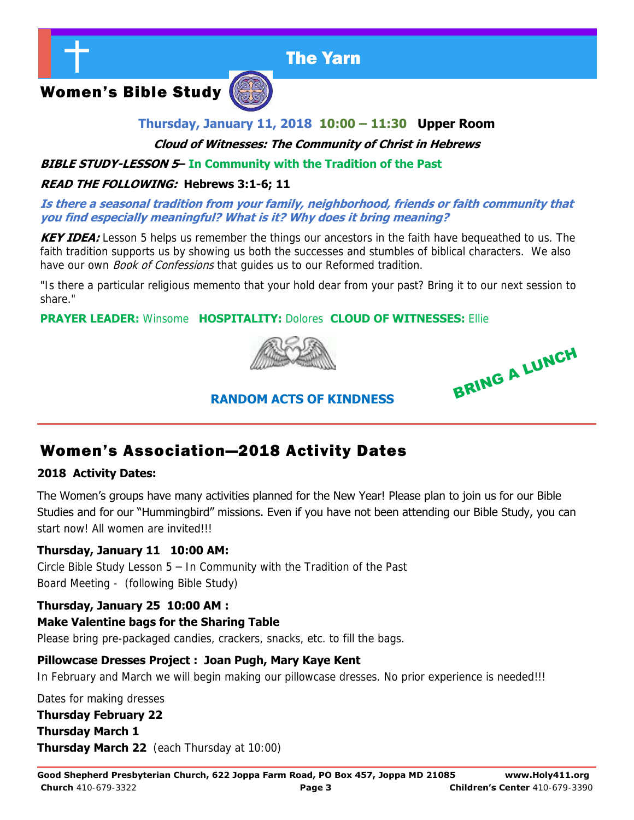

Women's Bible Study



## **Thursday, January 11, 2018 10:00 – 11:30 Upper Room**

**Cloud of Witnesses: The Community of Christ in Hebrews** 

## **BIBLE STUDY-LESSON 5– In Community with the Tradition of the Past**

#### **READ THE FOLLOWING: Hebrews 3:1-6; 11**

#### **Is there a seasonal tradition from your family, neighborhood, friends or faith community that you find especially meaningful? What is it? Why does it bring meaning?**

**KEY IDEA:** Lesson 5 helps us remember the things our ancestors in the faith have bequeathed to us. The faith tradition supports us by showing us both the successes and stumbles of biblical characters. We also have our own *Book of Confessions* that guides us to our Reformed tradition.

"Is there a particular religious memento that your hold dear from your past? Bring it to our next session to share."

## **PRAYER LEADER:** Winsome **HOSPITALITY:** Dolores **CLOUD OF WITNESSES:** Ellie



BRING A LUNCH

## **RANDOM ACTS OF KINDNESS**

## Women's Association—2018 Activity Dates

#### **2018 Activity Dates:**

The Women's groups have many activities planned for the New Year! Please plan to join us for our Bible Studies and for our "Hummingbird" missions. Even if you have not been attending our Bible Study, you can start now! All women are invited!!!

#### **Thursday, January 11 10:00 AM:**

Circle Bible Study Lesson 5 – In Community with the Tradition of the Past Board Meeting - (following Bible Study)

#### **Thursday, January 25 10:00 AM :**

#### **Make Valentine bags for the Sharing Table**

Please bring pre-packaged candies, crackers, snacks, etc. to fill the bags.

#### **Pillowcase Dresses Project : Joan Pugh, Mary Kaye Kent**

In February and March we will begin making our pillowcase dresses. No prior experience is needed!!!

Dates for making dresses

## **Thursday February 22 Thursday March 1**

**Thursday March 22** (each Thursday at 10:00)

**Good Shepherd Presbyterian Church, 622 Joppa Farm Road, PO Box 457, Joppa MD 21085 www.Holy411.org Church** 410-679-3322 **Page 3 Children's Center** 410-679-3390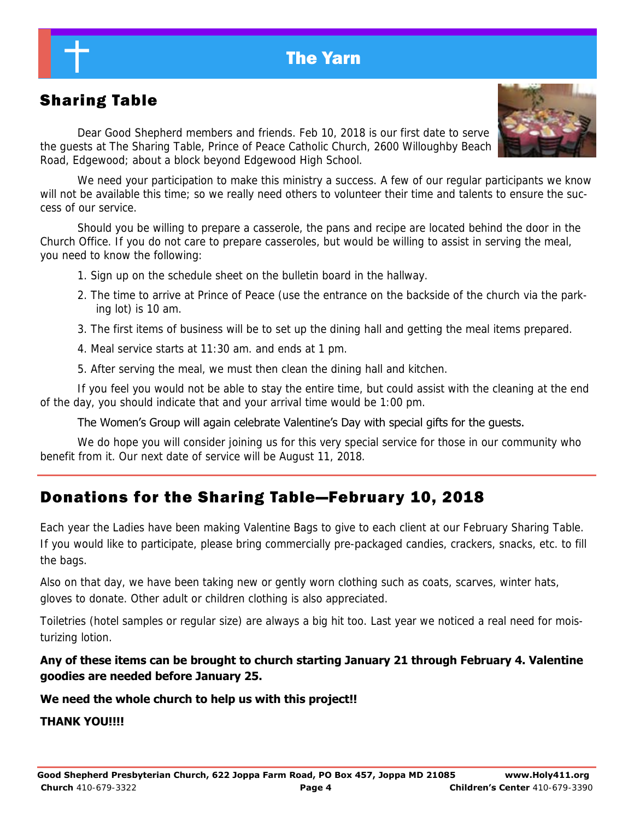# Sharing Table

 Dear Good Shepherd members and friends. Feb 10, 2018 is our first date to serve the guests at The Sharing Table, Prince of Peace Catholic Church, 2600 Willoughby Beach Road, Edgewood; about a block beyond Edgewood High School.

We need your participation to make this ministry a success. A few of our regular participants we know will not be available this time; so we really need others to volunteer their time and talents to ensure the success of our service.

Should you be willing to prepare a casserole, the pans and recipe are located behind the door in the Church Office. If you do not care to prepare casseroles, but would be willing to assist in serving the meal, you need to know the following:

- 1. Sign up on the schedule sheet on the bulletin board in the hallway.
- 2. The time to arrive at Prince of Peace (use the entrance on the backside of the church via the parking lot) is 10 am.
- 3. The first items of business will be to set up the dining hall and getting the meal items prepared.
- 4. Meal service starts at 11:30 am. and ends at 1 pm.
- 5. After serving the meal, we must then clean the dining hall and kitchen.

If you feel you would not be able to stay the entire time, but could assist with the cleaning at the end of the day, you should indicate that and your arrival time would be 1:00 pm.

#### The Women's Group will again celebrate Valentine's Day with special gifts for the guests.

We do hope you will consider joining us for this very special service for those in our community who benefit from it. Our next date of service will be August 11, 2018.

## Donations for the Sharing Table—February 10, 2018

Each year the Ladies have been making Valentine Bags to give to each client at our February Sharing Table. If you would like to participate, please bring commercially pre-packaged candies, crackers, snacks, etc. to fill the bags.

Also on that day, we have been taking new or gently worn clothing such as coats, scarves, winter hats, gloves to donate. Other adult or children clothing is also appreciated.

Toiletries (hotel samples or regular size) are always a big hit too. Last year we noticed a real need for moisturizing lotion.

## **Any of these items can be brought to church starting January 21 through February 4. Valentine goodies are needed before January 25.**

#### **We need the whole church to help us with this project!!**

#### **THANK YOU!!!!**

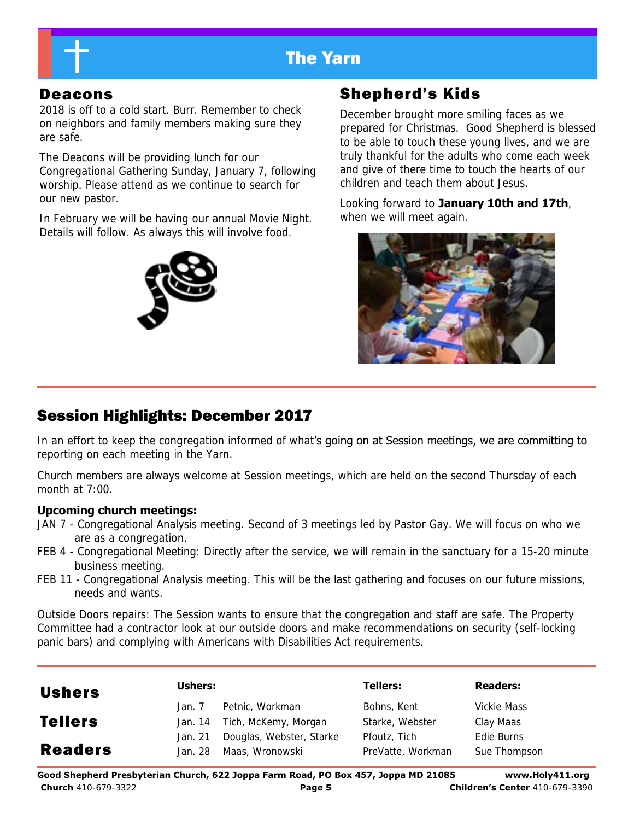

2018 is off to a cold start. Burr. Remember to check on neighbors and family members making sure they are safe.

The Deacons will be providing lunch for our Congregational Gathering Sunday, January 7, following worship. Please attend as we continue to search for our new pastor.

In February we will be having our annual Movie Night. Details will follow. As always this will involve food.



## Deacons Shepherd's Kids

December brought more smiling faces as we prepared for Christmas. Good Shepherd is blessed to be able to touch these young lives, and we are truly thankful for the adults who come each week and give of there time to touch the hearts of our children and teach them about Jesus.

Looking forward to **January 10th and 17th**, when we will meet again.



# Session Highlights: December 2017

In an effort to keep the congregation informed of what's going on at Session meetings, we are committing to reporting on each meeting in the Yarn.

Church members are always welcome at Session meetings, which are held on the second Thursday of each month at 7:00.

#### **Upcoming church meetings:**

- JAN 7 Congregational Analysis meeting. Second of 3 meetings led by Pastor Gay. We will focus on who we are as a congregation.
- FEB 4 Congregational Meeting: Directly after the service, we will remain in the sanctuary for a 15-20 minute business meeting.
- FEB 11 Congregational Analysis meeting. This will be the last gathering and focuses on our future missions, needs and wants.

Outside Doors repairs: The Session wants to ensure that the congregation and staff are safe. The Property Committee had a contractor look at our outside doors and make recommendations on security (self-locking panic bars) and complying with Americans with Disabilities Act requirements.

| <b>Ushers</b>  | Ushers:            |                                             | <b>Tellers:</b>                   | <b>Readers:</b>            |
|----------------|--------------------|---------------------------------------------|-----------------------------------|----------------------------|
|                | Jan. 7             | Petnic, Workman                             | Bohns, Kent                       | Vickie Mass                |
| <b>Tellers</b> | Jan. 14            | Tich, McKemy, Morgan                        | Starke, Webster                   | Clay Maas                  |
| <b>Readers</b> | Jan. 21<br>Jan. 28 | Douglas, Webster, Starke<br>Maas, Wronowski | Pfoutz, Tich<br>PreVatte, Workman | Edie Burns<br>Sue Thompson |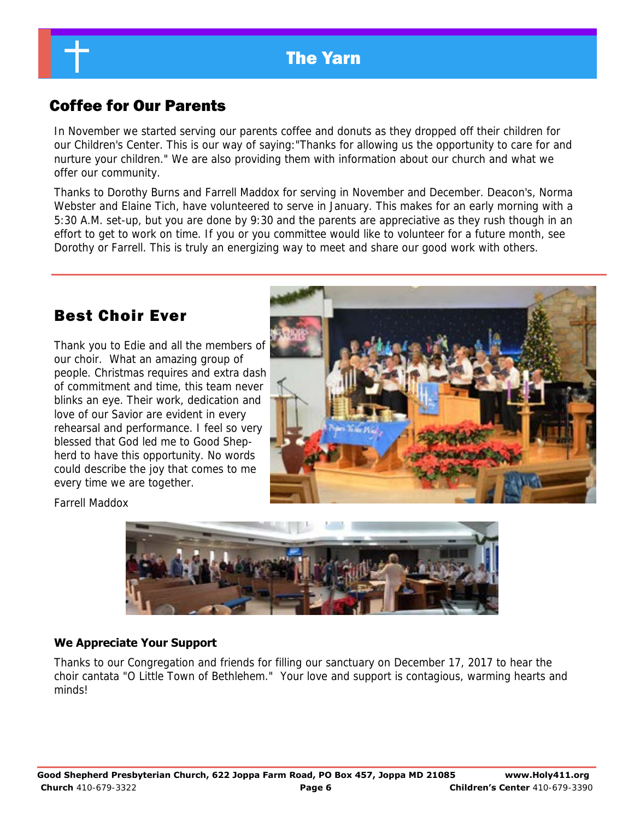## Coffee for Our Parents

In November we started serving our parents coffee and donuts as they dropped off their children for our Children's Center. This is our way of saying:"Thanks for allowing us the opportunity to care for and nurture your children." We are also providing them with information about our church and what we offer our community.

Thanks to Dorothy Burns and Farrell Maddox for serving in November and December. Deacon's, Norma Webster and Elaine Tich, have volunteered to serve in January. This makes for an early morning with a 5:30 A.M. set-up, but you are done by 9:30 and the parents are appreciative as they rush though in an effort to get to work on time. If you or you committee would like to volunteer for a future month, see Dorothy or Farrell. This is truly an energizing way to meet and share our good work with others.

## Best Choir Ever

Thank you to Edie and all the members of our choir. What an amazing group of people. Christmas requires and extra dash of commitment and time, this team never blinks an eye. Their work, dedication and love of our Savior are evident in every rehearsal and performance. I feel so very blessed that God led me to Good Shepherd to have this opportunity. No words could describe the joy that comes to me every time we are together.



Farrell Maddox



#### **We Appreciate Your Support**

Thanks to our Congregation and friends for filling our sanctuary on December 17, 2017 to hear the choir cantata "O Little Town of Bethlehem." Your love and support is contagious, warming hearts and minds!